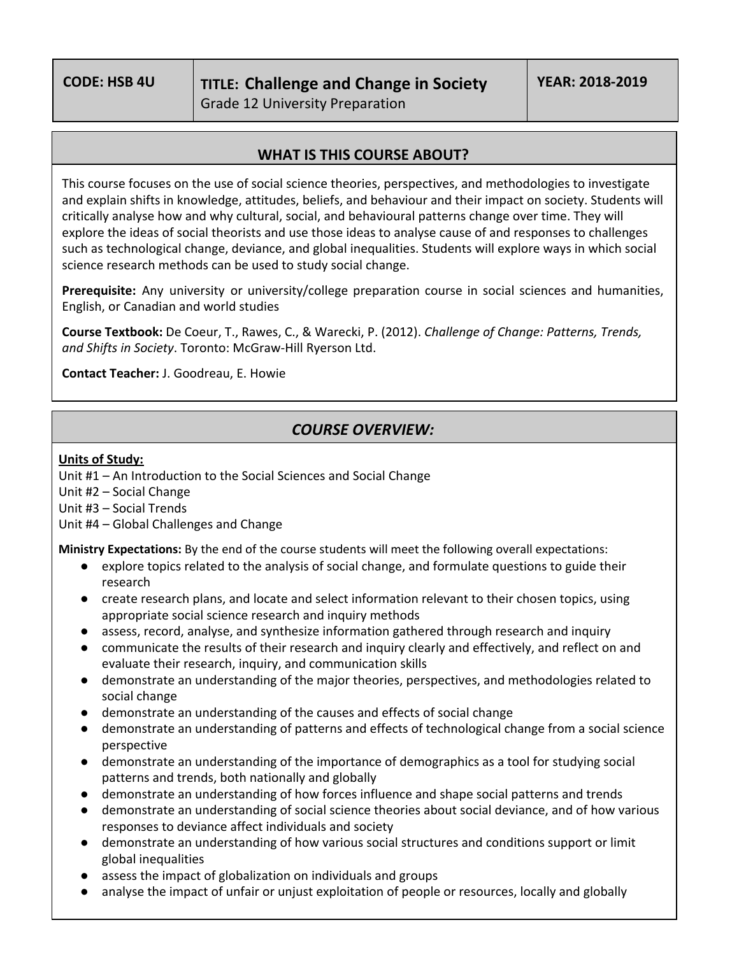## **WHAT IS THIS COURSE ABOUT?**

This course focuses on the use of social science theories, perspectives, and methodologies to investigate and explain shifts in knowledge, attitudes, beliefs, and behaviour and their impact on society. Students will critically analyse how and why cultural, social, and behavioural patterns change over time. They will explore the ideas of social theorists and use those ideas to analyse cause of and responses to challenges such as technological change, deviance, and global inequalities. Students will explore ways in which social science research methods can be used to study social change.

**Prerequisite:** Any university or university/college preparation course in social sciences and humanities, English, or Canadian and world studies

**Course Textbook:** De Coeur, T., Rawes, C., & Warecki, P. (2012). *Challenge of Change: Patterns, Trends, and Shifts in Society*. Toronto: McGraw-Hill Ryerson Ltd.

**Contact Teacher:** J. Goodreau, E. Howie

## *COURSE OVERVIEW:*

## **Units of Study:**

Unit #1 – An Introduction to the Social Sciences and Social Change

Unit #2 – Social Change

Unit #3 – Social Trends

Unit #4 – Global Challenges and Change

**Ministry Expectations:** By the end of the course students will meet the following overall expectations:

- explore topics related to the analysis of social change, and formulate questions to guide their research
- create research plans, and locate and select information relevant to their chosen topics, using appropriate social science research and inquiry methods
- assess, record, analyse, and synthesize information gathered through research and inquiry
- communicate the results of their research and inquiry clearly and effectively, and reflect on and evaluate their research, inquiry, and communication skills
- demonstrate an understanding of the major theories, perspectives, and methodologies related to social change
- demonstrate an understanding of the causes and effects of social change
- demonstrate an understanding of patterns and effects of technological change from a social science perspective
- demonstrate an understanding of the importance of demographics as a tool for studying social patterns and trends, both nationally and globally
- demonstrate an understanding of how forces influence and shape social patterns and trends
- demonstrate an understanding of social science theories about social deviance, and of how various responses to deviance affect individuals and society
- demonstrate an understanding of how various social structures and conditions support or limit global inequalities
- assess the impact of globalization on individuals and groups
- analyse the impact of unfair or unjust exploitation of people or resources, locally and globally